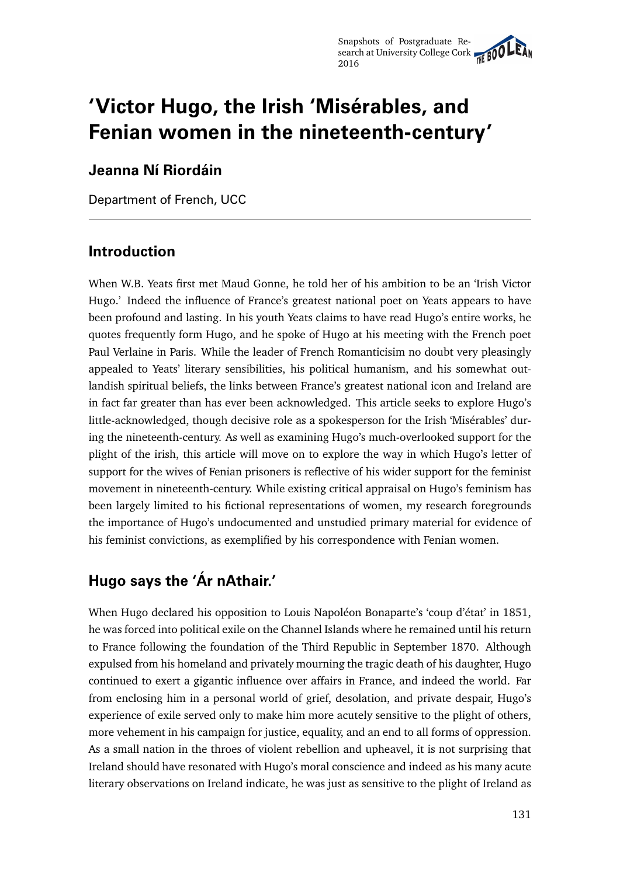# **'Victor Hugo, the Irish 'Misérables, and Fenian women in the nineteenth-century'**

### **Jeanna Ní Riordáin**

Department of French, UCC

### **Introduction**

When W.B. Yeats first met Maud Gonne, he told her of his ambition to be an 'Irish Victor Hugo.' Indeed the influence of France's greatest national poet on Yeats appears to have been profound and lasting. In his youth Yeats claims to have read Hugo's entire works, he quotes frequently form Hugo, and he spoke of Hugo at his meeting with the French poet Paul Verlaine in Paris. While the leader of French Romanticisim no doubt very pleasingly appealed to Yeats' literary sensibilities, his political humanism, and his somewhat outlandish spiritual beliefs, the links between France's greatest national icon and Ireland are in fact far greater than has ever been acknowledged. This article seeks to explore Hugo's little-acknowledged, though decisive role as a spokesperson for the Irish 'Misérables' during the nineteenth-century. As well as examining Hugo's much-overlooked support for the plight of the irish, this article will move on to explore the way in which Hugo's letter of support for the wives of Fenian prisoners is reflective of his wider support for the feminist movement in nineteenth-century. While existing critical appraisal on Hugo's feminism has been largely limited to his fictional representations of women, my research foregrounds the importance of Hugo's undocumented and unstudied primary material for evidence of his feminist convictions, as exemplified by his correspondence with Fenian women.

# **Hugo says the 'Ár nAthair.'**

When Hugo declared his opposition to Louis Napoléon Bonaparte's 'coup d'état' in 1851, he was forced into political exile on the Channel Islands where he remained until his return to France following the foundation of the Third Republic in September 1870. Although expulsed from his homeland and privately mourning the tragic death of his daughter, Hugo continued to exert a gigantic influence over affairs in France, and indeed the world. Far from enclosing him in a personal world of grief, desolation, and private despair, Hugo's experience of exile served only to make him more acutely sensitive to the plight of others, more vehement in his campaign for justice, equality, and an end to all forms of oppression. As a small nation in the throes of violent rebellion and upheavel, it is not surprising that Ireland should have resonated with Hugo's moral conscience and indeed as his many acute literary observations on Ireland indicate, he was just as sensitive to the plight of Ireland as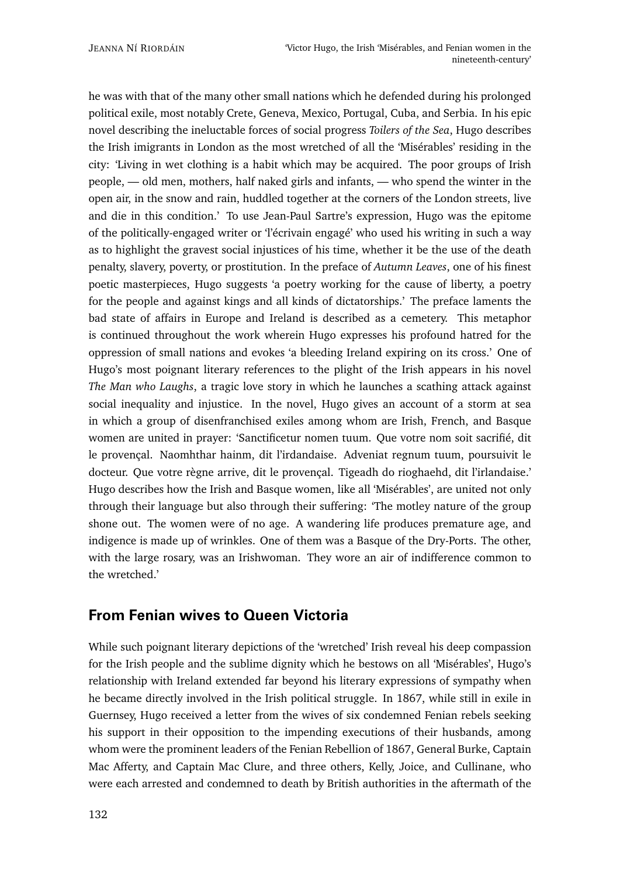he was with that of the many other small nations which he defended during his prolonged political exile, most notably Crete, Geneva, Mexico, Portugal, Cuba, and Serbia. In his epic novel describing the ineluctable forces of social progress *Toilers of the Sea*, Hugo describes the Irish imigrants in London as the most wretched of all the 'Misérables' residing in the city: 'Living in wet clothing is a habit which may be acquired. The poor groups of Irish people, — old men, mothers, half naked girls and infants, — who spend the winter in the open air, in the snow and rain, huddled together at the corners of the London streets, live and die in this condition.' To use Jean-Paul Sartre's expression, Hugo was the epitome of the politically-engaged writer or 'l'écrivain engagé' who used his writing in such a way as to highlight the gravest social injustices of his time, whether it be the use of the death penalty, slavery, poverty, or prostitution. In the preface of *Autumn Leaves*, one of his finest poetic masterpieces, Hugo suggests 'a poetry working for the cause of liberty, a poetry for the people and against kings and all kinds of dictatorships.' The preface laments the bad state of affairs in Europe and Ireland is described as a cemetery. This metaphor is continued throughout the work wherein Hugo expresses his profound hatred for the oppression of small nations and evokes 'a bleeding Ireland expiring on its cross.' One of Hugo's most poignant literary references to the plight of the Irish appears in his novel *The Man who Laughs*, a tragic love story in which he launches a scathing attack against social inequality and injustice. In the novel, Hugo gives an account of a storm at sea in which a group of disenfranchised exiles among whom are Irish, French, and Basque women are united in prayer: 'Sanctificetur nomen tuum. Que votre nom soit sacrifié, dit le provençal. Naomhthar hainm, dit l'irdandaise. Adveniat regnum tuum, poursuivit le docteur. Que votre règne arrive, dit le provençal. Tigeadh do rioghaehd, dit l'irlandaise.' Hugo describes how the Irish and Basque women, like all 'Misérables', are united not only through their language but also through their suffering: 'The motley nature of the group shone out. The women were of no age. A wandering life produces premature age, and indigence is made up of wrinkles. One of them was a Basque of the Dry-Ports. The other, with the large rosary, was an Irishwoman. They wore an air of indifference common to the wretched.'

### **From Fenian wives to Queen Victoria**

While such poignant literary depictions of the 'wretched' Irish reveal his deep compassion for the Irish people and the sublime dignity which he bestows on all 'Misérables', Hugo's relationship with Ireland extended far beyond his literary expressions of sympathy when he became directly involved in the Irish political struggle. In 1867, while still in exile in Guernsey, Hugo received a letter from the wives of six condemned Fenian rebels seeking his support in their opposition to the impending executions of their husbands, among whom were the prominent leaders of the Fenian Rebellion of 1867, General Burke, Captain Mac Afferty, and Captain Mac Clure, and three others, Kelly, Joice, and Cullinane, who were each arrested and condemned to death by British authorities in the aftermath of the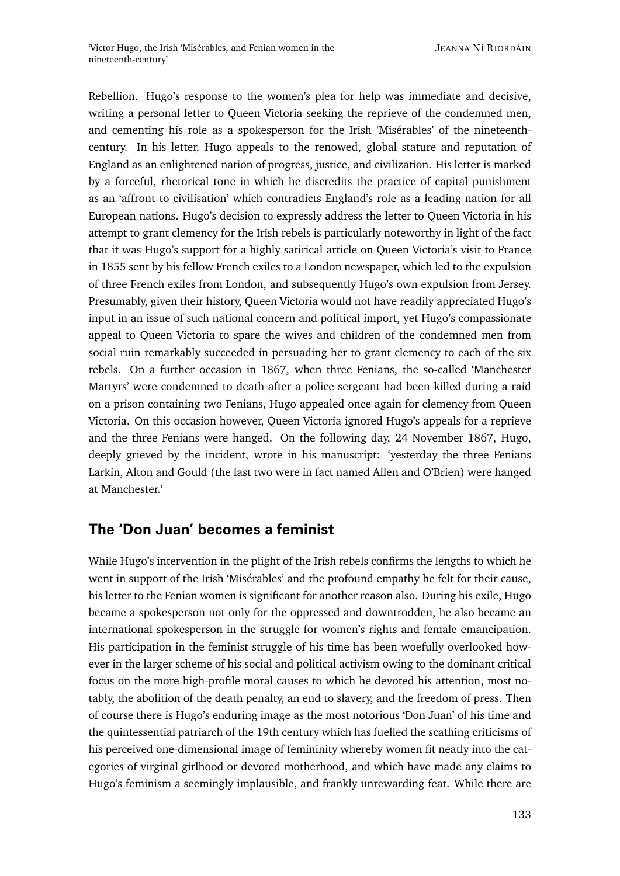Rebellion. Hugo's response to the women's plea for help was immediate and decisive, writing a personal letter to Queen Victoria seeking the reprieve of the condemned men, and cementing his role as a spokesperson for the Irish 'Misérables' of the nineteenthcentury. In his letter, Hugo appeals to the renowed, global stature and reputation of England as an enlightened nation of progress, justice, and civilization. His letter is marked by a forceful, rhetorical tone in which he discredits the practice of capital punishment as an 'affront to civilisation' which contradicts England's role as a leading nation for all European nations. Hugo's decision to expressly address the letter to Queen Victoria in his attempt to grant clemency for the Irish rebels is particularly noteworthy in light of the fact that it was Hugo's support for a highly satirical article on Queen Victoria's visit to France in 1855 sent by his fellow French exiles to a London newspaper, which led to the expulsion of three French exiles from London, and subsequently Hugo's own expulsion from Jersey. Presumably, given their history, Queen Victoria would not have readily appreciated Hugo's input in an issue of such national concern and political import, yet Hugo's compassionate appeal to Queen Victoria to spare the wives and children of the condemned men from social ruin remarkably succeeded in persuading her to grant clemency to each of the six rebels. On a further occasion in 1867, when three Fenians, the so-called 'Manchester Martyrs' were condemned to death after a police sergeant had been killed during a raid on a prison containing two Fenians, Hugo appealed once again for clemency from Queen Victoria. On this occasion however, Queen Victoria ignored Hugo's appeals for a reprieve and the three Fenians were hanged. On the following day, 24 November 1867, Hugo, deeply grieved by the incident, wrote in his manuscript: 'yesterday the three Fenians Larkin, Alton and Gould (the last two were in fact named Allen and O'Brien) were hanged at Manchester.'

#### **The 'Don Juan' becomes a feminist**

While Hugo's intervention in the plight of the Irish rebels confirms the lengths to which he went in support of the Irish 'Misérables' and the profound empathy he felt for their cause, his letter to the Fenian women is significant for another reason also. During his exile, Hugo became a spokesperson not only for the oppressed and downtrodden, he also became an international spokesperson in the struggle for women's rights and female emancipation. His participation in the feminist struggle of his time has been woefully overlooked however in the larger scheme of his social and political activism owing to the dominant critical focus on the more high-profile moral causes to which he devoted his attention, most notably, the abolition of the death penalty, an end to slavery, and the freedom of press. Then of course there is Hugo's enduring image as the most notorious 'Don Juan' of his time and the quintessential patriarch of the 19th century which has fuelled the scathing criticisms of his perceived one-dimensional image of femininity whereby women fit neatly into the categories of virginal girlhood or devoted motherhood, and which have made any claims to Hugo's feminism a seemingly implausible, and frankly unrewarding feat. While there are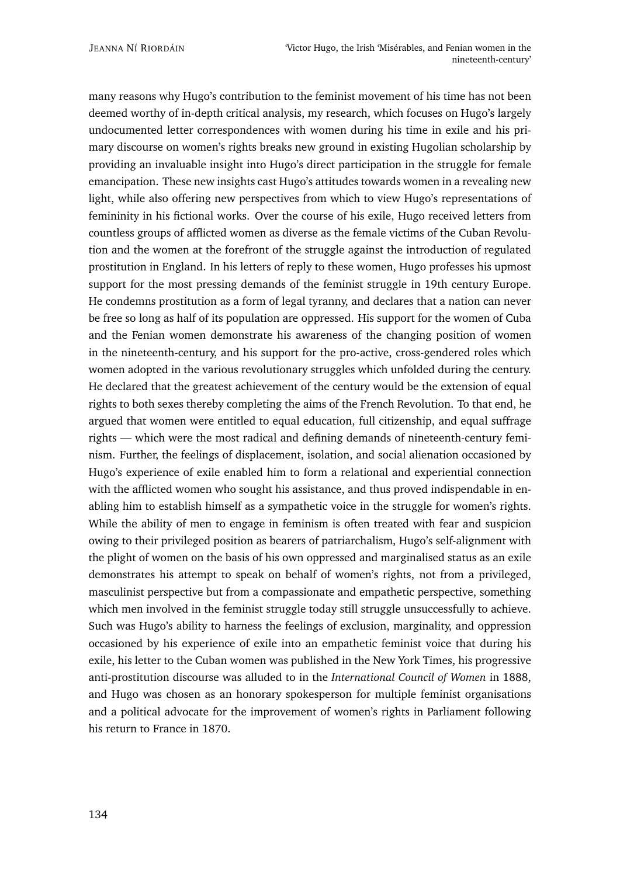many reasons why Hugo's contribution to the feminist movement of his time has not been deemed worthy of in-depth critical analysis, my research, which focuses on Hugo's largely undocumented letter correspondences with women during his time in exile and his primary discourse on women's rights breaks new ground in existing Hugolian scholarship by providing an invaluable insight into Hugo's direct participation in the struggle for female emancipation. These new insights cast Hugo's attitudes towards women in a revealing new light, while also offering new perspectives from which to view Hugo's representations of femininity in his fictional works. Over the course of his exile, Hugo received letters from countless groups of afflicted women as diverse as the female victims of the Cuban Revolution and the women at the forefront of the struggle against the introduction of regulated prostitution in England. In his letters of reply to these women, Hugo professes his upmost support for the most pressing demands of the feminist struggle in 19th century Europe. He condemns prostitution as a form of legal tyranny, and declares that a nation can never be free so long as half of its population are oppressed. His support for the women of Cuba and the Fenian women demonstrate his awareness of the changing position of women in the nineteenth-century, and his support for the pro-active, cross-gendered roles which women adopted in the various revolutionary struggles which unfolded during the century. He declared that the greatest achievement of the century would be the extension of equal rights to both sexes thereby completing the aims of the French Revolution. To that end, he argued that women were entitled to equal education, full citizenship, and equal suffrage rights — which were the most radical and defining demands of nineteenth-century feminism. Further, the feelings of displacement, isolation, and social alienation occasioned by Hugo's experience of exile enabled him to form a relational and experiential connection with the afflicted women who sought his assistance, and thus proved indispendable in enabling him to establish himself as a sympathetic voice in the struggle for women's rights. While the ability of men to engage in feminism is often treated with fear and suspicion owing to their privileged position as bearers of patriarchalism, Hugo's self-alignment with the plight of women on the basis of his own oppressed and marginalised status as an exile demonstrates his attempt to speak on behalf of women's rights, not from a privileged, masculinist perspective but from a compassionate and empathetic perspective, something which men involved in the feminist struggle today still struggle unsuccessfully to achieve. Such was Hugo's ability to harness the feelings of exclusion, marginality, and oppression occasioned by his experience of exile into an empathetic feminist voice that during his exile, his letter to the Cuban women was published in the New York Times, his progressive anti-prostitution discourse was alluded to in the *International Council of Women* in 1888, and Hugo was chosen as an honorary spokesperson for multiple feminist organisations and a political advocate for the improvement of women's rights in Parliament following his return to France in 1870.